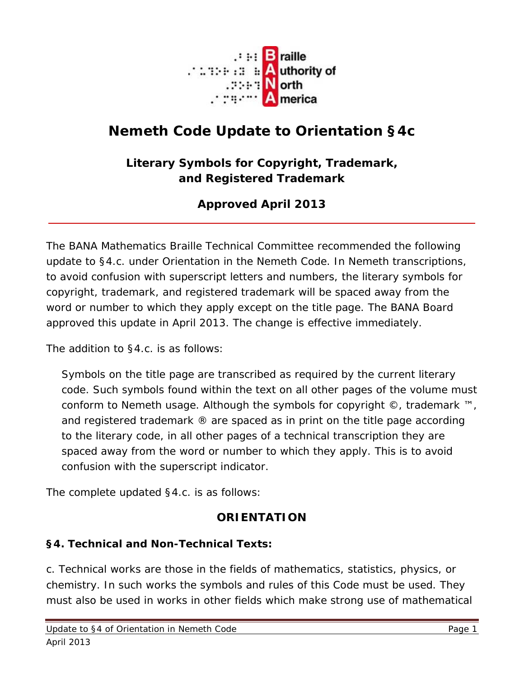

# **Nemeth Code Update to Orientation §4c**

### **Literary Symbols for Copyright, Trademark, and Registered Trademark**

## **Approved April 2013**

The BANA Mathematics Braille Technical Committee recommended the following update to §4.c. under *Orientation* in the Nemeth Code. In Nemeth transcriptions, to avoid confusion with superscript letters and numbers, the literary symbols for copyright, trademark, and registered trademark will be spaced away from the word or number to which they apply *except on the title page*. The BANA Board approved this update in April 2013. The change is effective immediately.

The addition to §4.c. is as follows:

Symbols on the title page are transcribed as required by the current literary code. Such symbols found within the text on all other pages of the volume must conform to Nemeth usage. Although the symbols for copyright ©, trademark ™, and registered trademark ® are spaced as in print on the title page according to the literary code, in all other pages of a technical transcription they are spaced away from the word or number to which they apply. This is to avoid confusion with the superscript indicator.

The complete updated §4.c. is as follows:

#### **ORIENTATION**

#### **§4. Technical and Non-Technical Texts:**

c. *Technical* works are those in the fields of mathematics, statistics, physics, or chemistry. In such works the symbols and rules of this Code must be used. They must also be used in works in other fields which make strong use of mathematical